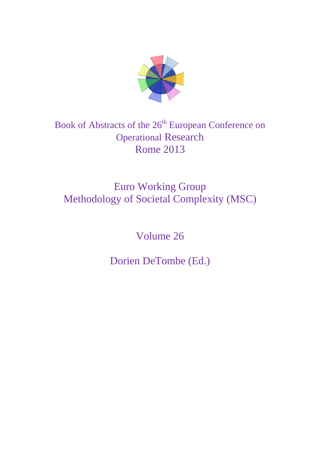

# Book of Abstracts of the 26<sup>th</sup> European Conference on Operational Research Rome 2013

# Euro Working Group Methodology of Societal Complexity (MSC)

Volume 26

Dorien DeTombe (Ed.)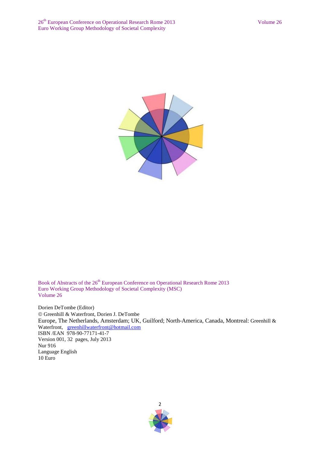

Book of Abstracts of the 26<sup>th</sup> European Conference on Operational Research Rome 2013 Euro Working Group Methodology of Societal Complexity (MSC) Volume 26

Dorien DeTombe (Editor) Greenhill & Waterfront, Dorien J. DeTombe Europe, The Netherlands, Amsterdam; UK, Guilford; North-America, Canada, Montreal: Greenhill & Waterfront, [greenhillwaterfront@hotmail.com](mailto:greenhillwaterfront@hotmail.com) ISBN /EAN 978-90-77171-41-7 Version 001, 32 pages, July 2013 Nur 916 Language English 10 Euro

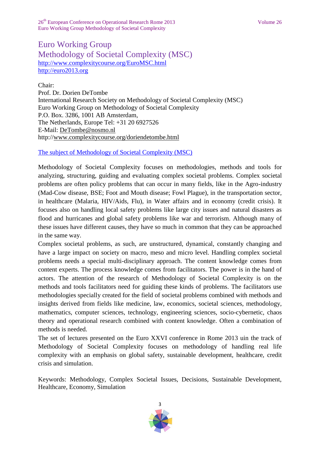26<sup>th</sup> European Conference on Operational Research Rome 2013 Volume 26 Euro Working Group Methodology of Societal Complexity

# Euro Working Group Methodology of Societal Complexity (MSC) <http://www.complexitycourse.org/EuroMSC.html> [http://euro2013.org](http://euro2013.org/)

Chair: Prof. Dr. Dorien DeTombe International Research Society on Methodology of Societal Complexity (MSC) Euro Working Group on Methodology of Societal Complexity P.O. Box. 3286, 1001 AB Amsterdam, The Netherlands, Europe Tel: +31 20 6927526 E-Mail: [DeTombe@nosmo.nl](mailto:DeTombe@nosmo.nl) http:/[/www.complexitycourse.org/doriendetombe.html](http://www.complexitycourse.org/doriendetombe.html)

[The subject of Methodology of Societal Complexity](http://www.complexitycourse.org/EuroMSC.html) (MSC)

Methodology of Societal Complexity focuses on methodologies, methods and tools for analyzing, structuring, guiding and evaluating complex societal problems. Complex societal problems are often policy problems that can occur in many fields, like in the Agro-industry (Mad-Cow disease, BSE; Foot and Mouth disease; Fowl Plague), in the transportation sector, in healthcare (Malaria, HIV/Aids, Flu), in Water affairs and in economy (credit crisis). It focuses also on handling local safety problems like large city issues and natural disasters as flood and hurricanes and global safety problems like war and terrorism. Although many of these issues have different causes, they have so much in common that they can be approached in the same way.

Complex societal problems, as such, are unstructured, dynamical, constantly changing and have a large impact on society on macro, meso and micro level. Handling complex societal problems needs a special multi-disciplinary approach. The content knowledge comes from content experts. The process knowledge comes from facilitators. The power is in the hand of actors. The attention of the research of Methodology of Societal Complexity is on the methods and tools facilitators need for guiding these kinds of problems. The facilitators use methodologies specially created for the field of societal problems combined with methods and insights derived from fields like medicine, law, economics, societal sciences, methodology, mathematics, computer sciences, technology, engineering sciences, socio-cybernetic, chaos theory and operational research combined with content knowledge. Often a combination of methods is needed.

The set of lectures presented on the Euro XXVI conference in Rome 2013 uin the track of Methodology of Societal Complexity focuses on methodology of handling real life complexity with an emphasis on global safety, sustainable development, healthcare, credit crisis and simulation.

Keywords: Methodology, Complex Societal Issues, Decisions, Sustainable Development, Healthcare, Economy, Simulation

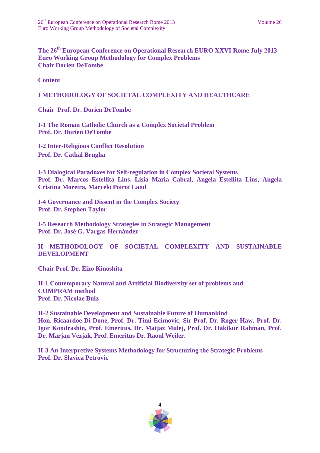**The 26 th European Conference on Operational Research EURO XXVI Rome July 2013 Euro Working Group Methodology for Complex Problems Chair Dorien DeTombe** 

**Content**

## **I METHODOLOGY OF SOCIETAL COMPLEXITY AND HEALTHCARE**

**Chair Prof. Dr. Dorien DeTombe**

**I-1 The Roman Catholic Church as a Complex Societal Problem Prof. Dr. Dorien DeTombe**

**I-2 Inter-Religious Conflict Resolution Prof. Dr. Cathal Brugha**

**I-3 Dialogical Paradoxes for Self-regulation in Complex Societal Systems Prof. Dr. Marcos Estellita Lins, Lísia Maria Cabral, Angela Estellita Lins, Angela Cristina Moreira, Marcelo Poirot Land**

**I-4 Governance and Dissent in the Complex Society Prof. Dr. Stephen Taylor**

**I-5 Research Methodology Strategies in Strategic Management Prof. Dr. José G. Vargas-Hernández**

**II METHODOLOGY OF SOCIETAL COMPLEXITY AND SUSTAINABLE DEVELOPMENT**

**Chair Prof. Dr. Eizo Kinoshita**

**II-1 Contemporary Natural and Artificial Biodiversity set of problems and COMPRAM method Prof. Dr. Nicolae Bulz**

**II-2 Sustainable Development and Sustainable Future of Humankind Hon. Ricaardoe Di Done, Prof. Dr. Timi Ecimovic, Sir Prof. Dr. Roger Haw, Prof. Dr. Igor Kondrashin, Prof. Emeritus, Dr. Matjaz Mulej, Prof. Dr. Hakikur Rahman, Prof. Dr. Marjan Vezjak, Prof. Emeritus Dr. Raoul Weiler.**

**II-3 An Interpretive Systems Methodology for Structuring the Strategic Problems Prof. Dr. Slavica Petrovic**

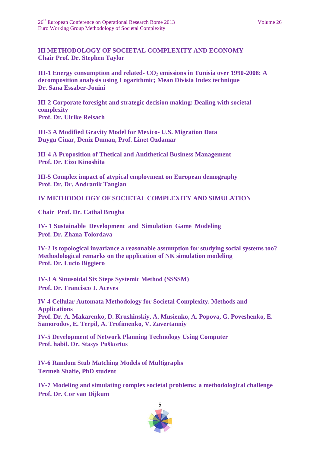## **III METHODOLOGY OF SOCIETAL COMPLEXITY AND ECONOMY Chair Prof. Dr. Stephen Taylor**

**III-1 Energy consumption and related- CO<sup>2</sup> emissions in Tunisia over 1990-2008: A decomposition analysis using Logarithmic; Mean Divisia Index technique Dr. Sana Essaber-Jouini**

**III-2 Corporate foresight and strategic decision making: Dealing with societal complexity Prof. Dr. Ulrike Reisach**

**III-3 A Modified Gravity Model for Mexico- U.S. Migration Data Duygu Cinar, Deniz Duman, Prof. Linet Ozdamar**

**III-4 A Proposition of Thetical and Antithetical Business Management Prof. Dr. Eizo Kinoshita**

**III-5 Complex impact of atypical employment on European demography Prof. Dr. Dr. Andranik Tangian** 

**IV METHODOLOGY OF SOCIETAL COMPLEXITY AND SIMULATION**

**Chair Prof. Dr. Cathal Brugha**

**IV- 1 Sustainable Development and Simulation Game Modeling Prof. Dr. Zhana Tolordava**

**IV-2 Is topological invariance a reasonable assumption for studying social systems too? Methodological remarks on the application of NK simulation modeling Prof. Dr. Lucio Biggiero** 

**IV-3 A Sinusoidal Six Steps Systemic Method (SSSSM) Prof. Dr. Francisco J. Aceves** 

**IV-4 Cellular Automata Methodology for Societal Complexity. Methods and Applications Prof. Dr. A. Makarenko, D. Krushinskiy, A. Musienko, A. Popova, G. Poveshenko, E. Samorodov, E. Terpil, A. Trofimenko, V. Zavertanniy**

**IV-5 Development of Network Planning Technology Using Computer Prof. habil. Dr. Stasys Puškorius**

**IV-6 Random Stub Matching Models of Multigraphs Termeh Shafie, PhD student** 

**IV-7 Modeling and simulating complex societal problems: a methodological challenge Prof. Dr. Cor van Dijkum**

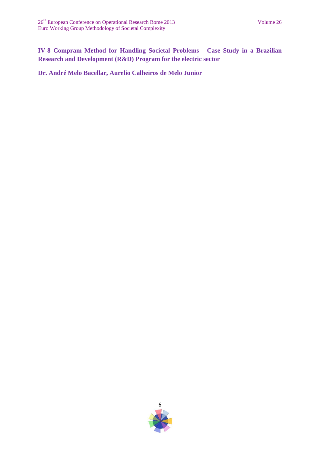**IV-8 Compram Method for Handling Societal Problems - Case Study in a Brazilian Research and Development (R&D) Program for the electric sector**

**Dr. André Melo Bacellar, Aurelio Calheiros de Melo Junior**

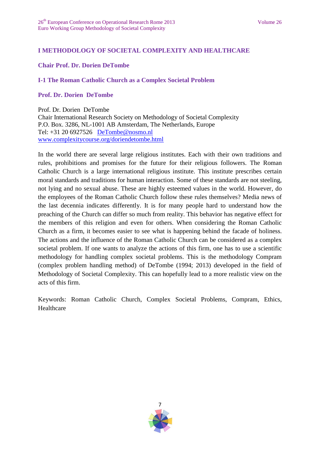## **I METHODOLOGY OF SOCIETAL COMPLEXITY AND HEALTHCARE**

## **Chair Prof. Dr. Dorien DeTombe**

## **I-1 The Roman Catholic Church as a Complex Societal Problem**

## **Prof. Dr. Dorien DeTombe**

Prof. Dr. Dorien DeTombe Chair International Research Society on Methodology of Societal Complexity P.O. Box. 3286, NL-1001 AB Amsterdam, The Netherlands, Europe Tel: +31 20 6927526 [DeTombe@nosmo.nl](mailto:DeTombe@nosmo.nl) [www.complexitycourse.org/doriendetombe.html](http://www.complexitycourse.org/doriendetombe.html)

In the world there are several large religious institutes. Each with their own traditions and rules, prohibitions and promises for the future for their religious followers. The Roman Catholic Church is a large international religious institute. This institute prescribes certain moral standards and traditions for human interaction. Some of these standards are not steeling, not lying and no sexual abuse. These are highly esteemed values in the world. However, do the employees of the Roman Catholic Church follow these rules themselves? Media news of the last decennia indicates differently. It is for many people hard to understand how the preaching of the Church can differ so much from reality. This behavior has negative effect for the members of this religion and even for others. When considering the Roman Catholic Church as a firm, it becomes easier to see what is happening behind the facade of holiness. The actions and the influence of the Roman Catholic Church can be considered as a complex societal problem. If one wants to analyze the actions of this firm, one has to use a scientific methodology for handling complex societal problems. This is the methodology Compram (complex problem handling method) of DeTombe (1994; 2013) developed in the field of Methodology of Societal Complexity. This can hopefully lead to a more realistic view on the acts of this firm.

Keywords: Roman Catholic Church, Complex Societal Problems, Compram, Ethics, Healthcare

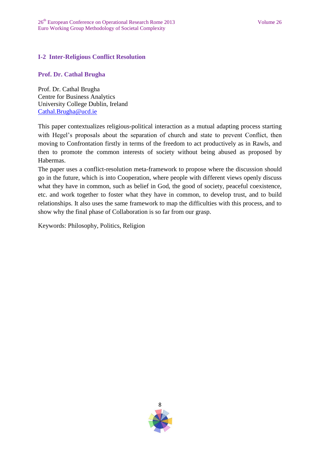## **I-2 Inter-Religious Conflict Resolution**

## **Prof. Dr. Cathal Brugha**

Prof. Dr. Cathal Brugha Centre for Business Analytics University College Dublin, Ireland [Cathal.Brugha@ucd.ie](mailto:Cathal.Brugha@ucd.ie)

This paper contextualizes religious-political interaction as a mutual adapting process starting with Hegel's proposals about the separation of church and state to prevent Conflict, then moving to Confrontation firstly in terms of the freedom to act productively as in Rawls, and then to promote the common interests of society without being abused as proposed by Habermas.

The paper uses a conflict-resolution meta-framework to propose where the discussion should go in the future, which is into Cooperation, where people with different views openly discuss what they have in common, such as belief in God, the good of society, peaceful coexistence, etc. and work together to foster what they have in common, to develop trust, and to build relationships. It also uses the same framework to map the difficulties with this process, and to show why the final phase of Collaboration is so far from our grasp.

Keywords: Philosophy, Politics, Religion

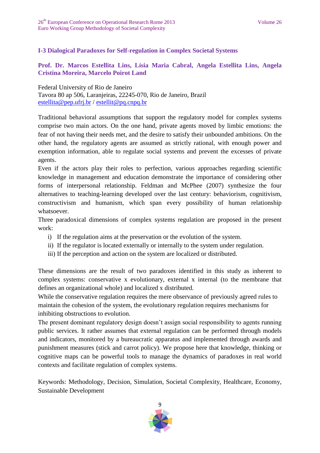# **I-3 Dialogical Paradoxes for Self-regulation in Complex Societal Systems**

## **Prof. Dr. Marcos Estellita Lins, Lísia Maria Cabral, Angela Estellita Lins, Angela Cristina Moreira, Marcelo Poirot Land**

Federal University of Rio de Janeiro Tavora 80 ap 506, Laranjeiras, 22245-070, Rio de Janeiro, Brazil [estellita@pep.ufrj.br](mailto:estellita@pep.ufrj.br) / [estellit@pq.cnpq.br](mailto:estellit@pq.cnpq.br)

Traditional behavioral assumptions that support the regulatory model for complex systems comprise two main actors. On the one hand, private agents moved by limbic emotions: the fear of not having their needs met, and the desire to satisfy their unbounded ambitions. On the other hand, the regulatory agents are assumed as strictly rational, with enough power and exemption information, able to regulate social systems and prevent the excesses of private agents.

Even if the actors play their roles to perfection, various approaches regarding scientific knowledge in management and education demonstrate the importance of considering other forms of interpersonal relationship. Feldman and McPhee (2007) synthesize the four alternatives to teaching-learning developed over the last century: behaviorism, cognitivism, constructivism and humanism, which span every possibility of human relationship whatsoever.

Three paradoxical dimensions of complex systems regulation are proposed in the present work:

- i) If the regulation aims at the preservation or the evolution of the system.
- ii) If the regulator is located externally or internally to the system under regulation.
- iii) If the perception and action on the system are localized or distributed.

These dimensions are the result of two paradoxes identified in this study as inherent to complex systems: conservative x evolutionary, external x internal (to the membrane that defines an organizational whole) and localized x distributed.

While the conservative regulation requires the mere observance of previously agreed rules to maintain the cohesion of the system, the evolutionary regulation requires mechanisms for inhibiting obstructions to evolution.

The present dominant regulatory design doesn't assign social responsibility to agents running public services. It rather assumes that external regulation can be performed through models and indicators, monitored by a bureaucratic apparatus and implemented through awards and punishment measures (stick and carrot policy). We propose here that knowledge, thinking or cognitive maps can be powerful tools to manage the dynamics of paradoxes in real world contexts and facilitate regulation of complex systems.

Keywords: Methodology, Decision, Simulation, Societal Complexity, Healthcare, Economy, Sustainable Development

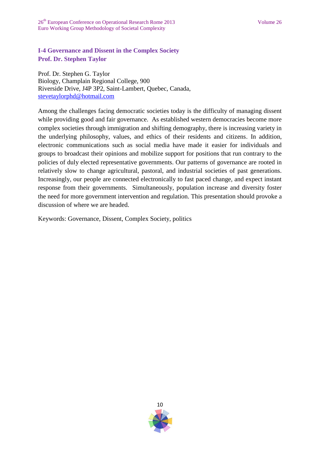# **I-4 Governance and Dissent in the Complex Society Prof. Dr. Stephen Taylor**

Prof. Dr. Stephen G. Taylor Biology, Champlain Regional College, 900 Riverside Drive, J4P 3P2, Saint-Lambert, Quebec, Canada, [stevetaylorphd@hotmail.com](mailto:stevetaylorphd@hotmail.com)

Among the challenges facing democratic societies today is the difficulty of managing dissent while providing good and fair governance. As established western democracies become more complex societies through immigration and shifting demography, there is increasing variety in the underlying philosophy, values, and ethics of their residents and citizens. In addition, electronic communications such as social media have made it easier for individuals and groups to broadcast their opinions and mobilize support for positions that run contrary to the policies of duly elected representative governments. Our patterns of governance are rooted in relatively slow to change agricultural, pastoral, and industrial societies of past generations. Increasingly, our people are connected electronically to fast paced change, and expect instant response from their governments. Simultaneously, population increase and diversity foster the need for more government intervention and regulation. This presentation should provoke a discussion of where we are headed.

Keywords: Governance, Dissent, Complex Society, politics

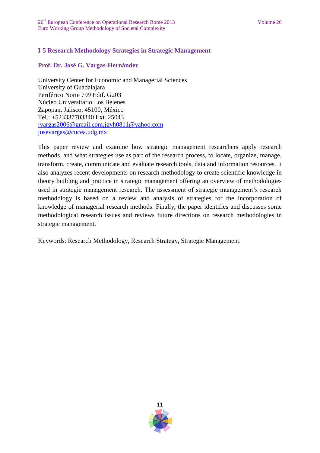## **I-5 Research Methodology Strategies in Strategic Management**

#### **Prof. Dr. José G. Vargas-Hernández**

University Center for Economic and Managerial Sciences University of Guadalajara Periférico Norte 799 Edif. G203 Núcleo Universitario Los Belenes Zapopan, Jalisco, 45100, México Tel.: +523337703340 Ext. 25043 [jvargas2006@gmail.com,jgvh0811@yahoo.com](mailto:jvargas2006@gmail.com,jgvh0811@yahoo.comjosevargas@cucea.udg.mx) [josevargas@cucea.udg.mx](mailto:jvargas2006@gmail.com,jgvh0811@yahoo.comjosevargas@cucea.udg.mx)

This paper review and examine how strategic management researchers apply research methods, and what strategies use as part of the research process, to locate, organize, manage, transform, create, communicate and evaluate research tools, data and information resources. It also analyzes recent developments on research methodology to create scientific knowledge in theory building and practice in strategic management offering an overview of methodologies used in strategic management research. The assessment of strategic management's research methodology is based on a review and analysis of strategies for the incorporation of knowledge of managerial research methods. Finally, the paper identifies and discusses some methodological research issues and reviews future directions on research methodologies in strategic management.

Keywords: Research Methodology, Research Strategy, Strategic Management.

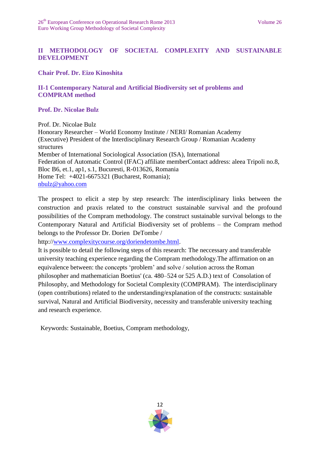# **II METHODOLOGY OF SOCIETAL COMPLEXITY AND SUSTAINABLE DEVELOPMENT**

**Chair Prof. Dr. Eizo Kinoshita**

## **II-1 Contemporary Natural and Artificial Biodiversity set of problems and COMPRAM method**

**Prof. Dr. Nicolae Bulz**

Prof. Dr. Nicolae Bulz

Honorary Researcher – World Economy Institute / NERI/ Romanian Academy (Executive) President of the Interdisciplinary Research Group / Romanian Academy structures Member of International Sociological Association (ISA), International Federation of Automatic Control (IFAC) affiliate memberContact address: aleea Tripoli no.8, Bloc B6, et.1, ap1, s.1, Bucuresti, R-013626, Romania Home Tel: +4021-6675321 (Bucharest, Romania); [nbulz@yahoo.com](mailto:nbulz@yahoo.com)

The prospect to elicit a step by step research: The interdisciplinary links between the construction and praxis related to the construct sustainable survival and the profound possibilities of the Compram methodology. The construct sustainable survival belongs to the Contemporary Natural and Artificial Biodiversity set of problems – the Compram method belongs to the Professor Dr. Dorien DeTombe /

http:/[/www.complexitycourse.org/doriendetombe.html.](http://www.complexitycourse.org/doriendetombe.html)

It is possible to detail the following steps of this research: The neccessary and transferable university teaching experience regarding the Compram methodology.The affirmation on an equivalence between: the concepts 'problem' and solve / solution across the Roman philosopher and mathematician Boetius' (ca. 480–524 or 525 A.D.) text of Consolation of Philosophy, and Methodology for Societal Complexity (COMPRAM). The interdisciplinary (open contributions) related to the understanding/explanation of the constructs: sustainable survival, Natural and Artificial Biodiversity, necessity and transferable university teaching and research experience.

Keywords: Sustainable, Boetius, Compram methodology,

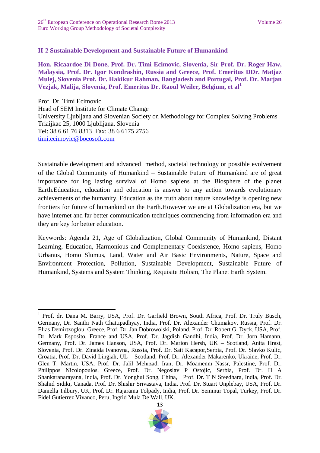**.** 

## **II-2 Sustainable Development and Sustainable Future of Humankind**

**Hon. Ricaardoe Di Done, Prof. Dr. Timi Ecimovic, Slovenia, Sir Prof. Dr. Roger Haw, Malaysia, Prof. Dr. Igor Kondrashin, Russia and Greece, Prof. Emeritus DDr. Matjaz Mulej, Slovenia Prof. Dr. Hakikur Rahman, Bangladesh and Portugal, Prof. Dr. Marjan Vezjak, Malija, Slovenia, Prof. Emeritus Dr. Raoul Weiler, Belgium, et al<sup>1</sup>**

Prof. Dr. Timi Ecimovic Head of SEM Institute for Climate Change University Ljubljana and Slovenian Society on Methodology for Complex Solving Problems Triaijkac 25, 1000 Ljublijana, Slovenia Tel: 38 6 61 76 8313 Fax: 38 6 6175 2756 [timi.ecimovic@bocosoft.com](mailto:timi.ecimovic@bocosoft.com)

Sustainable development and advanced method, societal technology or possible evolvement of the Global Community of Humankind – Sustainable Future of Humankind are of great importance for log lasting survival of Homo sapiens at the Biosphere of the planet Earth.Education, education and education is answer to any action towards evolutionary achievements of the humanity. Education as the truth about nature knowledge is opening new frontiers for future of humankind on the Earth.However we are at Globalization era, but we have internet and far better communication techniques commencing from information era and they are key for better education.

Keywords: Agenda 21, Age of Globalization, Global Community of Humankind, Distant Learning, Education, Harmonious and Complementary Coexistence, Homo sapiens, Homo Urbanus, Homo Slumus, Land, Water and Air Basic Environments, Nature, Space and Environment Protection, Pollution, Sustainable Development, Sustainable Future of Humankind, Systems and System Thinking, Requisite Holism, The Planet Earth System.

<sup>&</sup>lt;sup>1</sup> Prof. dr. Dana M. Barry, USA, Prof. Dr. Garfield Brown, South Africa, Prof. Dr. Truly Busch, Germany, Dr. Santhi Nath Chattipadhyay, India, Prof. Dr. Alexander Chumakov, Russia, Prof. Dr. Elias Demirtzoglou, Greece, Prof. Dr. Jan Dobrowolski, Poland, Prof. Dr. Robert G. Dyck, USA, Prof. Dr. Mark Esposito, France and USA, Prof. Dr. Jagdish Gandhi, India, Prof. Dr. Jorn Hamann, Germany, Prof. Dr. James Hanson, USA, Prof. Dr. Marion Hersh, UK – Scotland, Anita Hrast, Slovenia, Prof. Dr. Zinaida Ivanovna, Russia, Prof. Dr. Sait Kacapor,Serbia, Prof. Dr. Slavko Kulic, Croatia, Prof. Dr. David Lingiah, UL – Scotland, Prof. Dr. Alexander Makarenko, Ukraine, Prof. Dr. Glen T. Martin, USA, Prof. Dr. Jalil Mehrzad, Iran, Dr. Moamenm Nassr, Palestine, Prof. Dr. Philippos Nicolopoulos, Greece, Prof. Dr. Negoslav P Ostojic, Serbia, Prof. Dr. H A Shankaranarayana, India, Prof. Dr. Yonghui Song, China, Prof. Dr. T N Sreedhara, India, Prof. Dr. Shahid Sidiki, Canada, Prof. Dr. Shishir Srivastava, India, Prof. Dr. Stuart Unplebay, USA, Prof. Dr. Daniella Tilbury, UK, Prof. Dr. Rajarama Tolpady, India, Prof. Dr. Seminur Topal, Turkey, Prof. Dr. Fidel Gutierrez Vivanco, Peru, Ingrid Mula De Wall, UK.

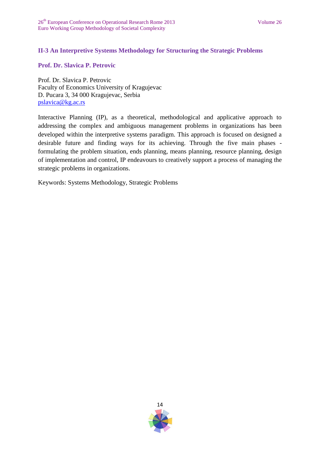## **II-3 An Interpretive Systems Methodology for Structuring the Strategic Problems**

**Prof. Dr. Slavica P. Petrovic**

Prof. Dr. Slavica P. Petrovic Faculty of Economics University of Kragujevac D. Pucara 3, 34 000 Kragujevac, Serbia [pslavica@kg.ac.rs](mailto:pslavica@kg.ac.rs)

Interactive Planning (IP), as a theoretical, methodological and applicative approach to addressing the complex and ambiguous management problems in organizations has been developed within the interpretive systems paradigm. This approach is focused on designed a desirable future and finding ways for its achieving. Through the five main phases formulating the problem situation, ends planning, means planning, resource planning, design of implementation and control, IP endeavours to creatively support a process of managing the strategic problems in organizations.

Keywords: Systems Methodology, Strategic Problems

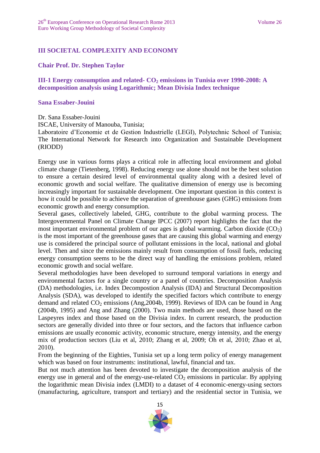## **III SOCIETAL COMPLEXITY AND ECONOMY**

#### **Chair Prof. Dr. Stephen Taylor**

**III-1 Energy consumption and related- CO<sup>2</sup> emissions in Tunisia over 1990-2008: A decomposition analysis using Logarithmic; Mean Divisia Index technique**

#### **Sana Essaber-Jouini**

Dr. Sana Essaber-Jouini

ISCAE, University of Manouba, Tunisia;

Laboratoire d'Economie et de Gestion Industrielle (LEGI), Polytechnic School of Tunisia; The International Network for Research into Organization and Sustainable Development (RIODD)

Energy use in various forms plays a critical role in affecting local environment and global climate change (Tietenberg, 1998). Reducing energy use alone should not be the best solution to ensure a certain desired level of environmental quality along with a desired level of economic growth and social welfare. The qualitative dimension of energy use is becoming increasingly important for sustainable development. One important question in this context is how it could be possible to achieve the separation of greenhouse gases (GHG) emissions from economic growth and energy consumption.

Several gases, collectively labeled, GHG, contribute to the global warming process. The Intergovernmental Panel on Climate Change IPCC (2007) report highlights the fact that the most important environmental problem of our ages is global warming. Carbon dioxide  $(CO_2)$ is the most important of the greenhouse gases that are causing this global warming and energy use is considered the principal source of pollutant emissions in the local, national and global level. Then and since the emissions mainly result from consumption of fossil fuels, reducing energy consumption seems to be the direct way of handling the emissions problem, related economic growth and social welfare.

Several methodologies have been developed to surround temporal variations in energy and environmental factors for a single country or a panel of countries. Decomposition Analysis (DA) methodologies, i.e. Index Decompostion Analysis (IDA) and Structural Decomposition Analysis (SDA), was developed to identify the specified factors which contribute to energy demand and related  $CO_2$  emissions (Ang, 2004b, 1999). Reviews of IDA can be found in Ang (2004b, 1995) and Ang and Zhang (2000). Two main methods are used, those based on the Laspeyres index and those based on the Divisia index. In current research, the production sectors are generally divided into three or four sectors, and the factors that influence carbon emissions are usually economic activity, economic structure, energy intensity, and the energy mix of production sectors (Liu et al, 2010; Zhang et al, 2009; Oh et al, 2010; Zhao et al, 2010).

From the beginning of the Eighties, Tunisia set up a long term policy of energy management which was based on four instruments: institutional, lawful, financial and tax.

But not much attention has been devoted to investigate the decomposition analysis of the energy use in general and of the energy-use-related  $CO<sub>2</sub>$  emissions in particular. By applying the logarithmic mean Divisia index (LMDI) to a dataset of 4 economic-energy-using sectors (manufacturing, agriculture, transport and tertiary) and the residential sector in Tunisia, we

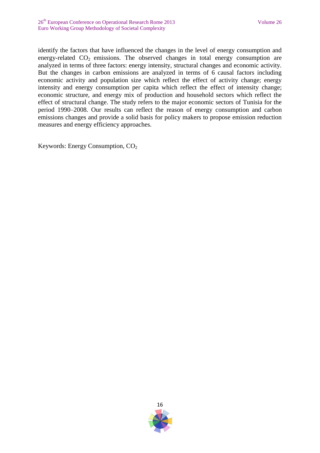identify the factors that have influenced the changes in the level of energy consumption and energy-related  $CO<sub>2</sub>$  emissions. The observed changes in total energy consumption are analyzed in terms of three factors: energy intensity, structural changes and economic activity. But the changes in carbon emissions are analyzed in terms of 6 causal factors including economic activity and population size which reflect the effect of activity change; energy intensity and energy consumption per capita which reflect the effect of intensity change; economic structure, and energy mix of production and household sectors which reflect the effect of structural change. The study refers to the major economic sectors of Tunisia for the period 1990–2008. Our results can reflect the reason of energy consumption and carbon emissions changes and provide a solid basis for policy makers to propose emission reduction measures and energy efficiency approaches.

Keywords: Energy Consumption,  $CO<sub>2</sub>$ 

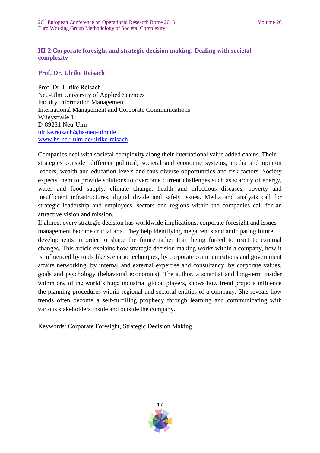## **III-2 Corporate foresight and strategic decision making: Dealing with societal complexity**

**Prof. Dr. Ulrike Reisach**

Prof. Dr. Ulrike Reisach Neu-Ulm University of Applied Sciences Faculty Information Management International Management and Corporate Communications Wileystraße 1 D-89231 Neu-Ulm [ulrike.reisach@hs-neu-ulm.de](mailto:ulrike.reisach@hs-neu-ulm.dewww.hs-neu-ulm.de/ulrike-reisach) [www.hs-neu-ulm.de/ulrike-reisach](mailto:ulrike.reisach@hs-neu-ulm.dewww.hs-neu-ulm.de/ulrike-reisach)

Companies deal with societal complexity along their international value added chains. Their strategies consider different political, societal and economic systems, media and opinion leaders, wealth and education levels and thus diverse opportunities and risk factors. Society expects them to provide solutions to overcome current challenges such as scarcity of energy, water and food supply, climate change, health and infectious diseases, poverty and insufficient infrastructures, digital divide and safety issues. Media and analysts call for strategic leadership and employees, sectors and regions within the companies call for an attractive vision and mission.

If almost every strategic decision has worldwide implications, corporate foresight and issues management become crucial arts. They help identifying megatrends and anticipating future developments in order to shape the future rather than being forced to react to external changes. This article explains how strategic decision making works within a company, how it is influenced by tools like scenario techniques, by corporate communications and government affairs networking, by internal and external expertise and consultancy, by corporate values, goals and psychology (behavioral economics). The author, a scientist and long‐term insider within one of the world's huge industrial global players, shows how trend projects influence the planning procedures within regional and sectoral entities of a company. She reveals how trends often become a self‐fulfilling prophecy through learning and communicating with various stakeholders inside and outside the company.

Keywords: Corporate Foresight, Strategic Decision Making

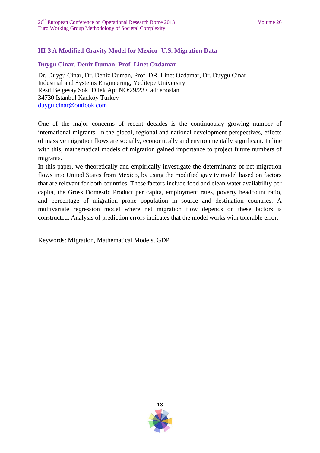# **III-3 A Modified Gravity Model for Mexico- U.S. Migration Data**

## **Duygu Cinar, Deniz Duman, Prof. Linet Ozdamar**

Dr. Duygu Cinar, Dr. Deniz Duman, Prof. DR. Linet Ozdamar, Dr. Duygu Cinar Industrial and Systems Engineering, Yeditepe University Resit Belgesay Sok. Dilek Apt.NO:29/23 Caddebostan 34730 Istanbul Kadköy Turkey [duygu.cinar@outlook.com](mailto:duygu.cinar@outlook.com)

One of the major concerns of recent decades is the continuously growing number of international migrants. In the global, regional and national development perspectives, effects of massive migration flows are socially, economically and environmentally significant. In line with this, mathematical models of migration gained importance to project future numbers of migrants.

In this paper, we theoretically and empirically investigate the determinants of net migration flows into United States from Mexico, by using the modified gravity model based on factors that are relevant for both countries. These factors include food and clean water availability per capita, the Gross Domestic Product per capita, employment rates, poverty headcount ratio, and percentage of migration prone population in source and destination countries. A multivariate regression model where net migration flow depends on these factors is constructed. Analysis of prediction errors indicates that the model works with tolerable error.

Keywords: Migration, Mathematical Models, GDP

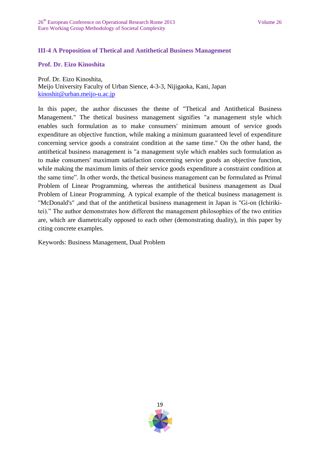## **III-4 A Proposition of Thetical and Antithetical Business Management**

#### **Prof. Dr. Eizo Kinoshita**

Prof. Dr. Eizo Kinoshita, Meijo University Faculty of Urban Sience, 4-3-3, Nijigaoka, Kani, Japan [kinoshit@urban.meijo-u.ac.jp](mailto:kinoshit@urban.meijo-u.ac.jp)

In this paper, the author discusses the theme of "Thetical and Antithetical Business Management." The thetical business management signifies "a management style which enables such formulation as to make consumers' minimum amount of service goods expenditure an objective function, while making a minimum guaranteed level of expenditure concerning service goods a constraint condition at the same time." On the other hand, the antithetical business management is "a management style which enables such formulation as to make consumers' maximum satisfaction concerning service goods an objective function, while making the maximum limits of their service goods expenditure a constraint condition at the same time". In other words, the thetical business management can be formulated as Primal Problem of Linear Programming, whereas the antithetical business management as Dual Problem of Linear Programming. A typical example of the thetical business management is "McDonald's" ,and that of the antithetical business management in Japan is "Gi-on (Ichirikitei)." The author demonstrates how different the management philosophies of the two entities are, which are diametrically opposed to each other (demonstrating duality), in this paper by citing concrete examples.

Keywords: Business Management, Dual Problem

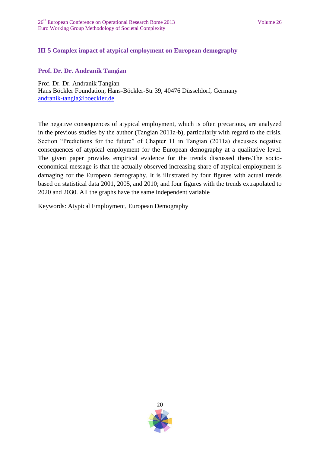# **III-5 Complex impact of atypical employment on European demography**

#### **Prof. Dr. Dr. Andranik Tangian**

Prof. Dr. Dr. Andranik Tangian Hans Böckler Foundation, Hans-Böckler-Str 39, 40476 Düsseldorf, Germany [andranik-tangia@boeckler.de](mailto:andranik-tangia@boeckler.de)

The negative consequences of atypical employment, which is often precarious, are analyzed in the previous studies by the author (Tangian 2011a-b), particularly with regard to the crisis. Section "Predictions for the future" of Chapter 11 in Tangian (2011a) discusses negative consequences of atypical employment for the European demography at a qualitative level. The given paper provides empirical evidence for the trends discussed there.The socioeconomical message is that the actually observed increasing share of atypical employment is damaging for the European demography. It is illustrated by four figures with actual trends based on statistical data 2001, 2005, and 2010; and four figures with the trends extrapolated to 2020 and 2030. All the graphs have the same independent variable

Keywords: Atypical Employment, European Demography

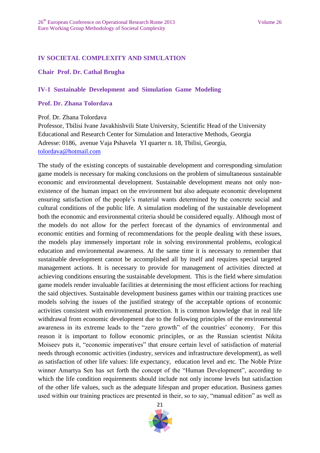## **IV SOCIETAL COMPLEXITY AND SIMULATION**

#### **Chair Prof. Dr. Cathal Brugha**

#### **IV-1 Sustainable Development and Simulation Game Modeling**

#### **Prof. Dr. Zhana Tolordava**

Prof. Dr. Zhana Tolordava

Professor, Tbilisi Ivane Javakhishvili State University, Scientific Head of the University Educational and Research Center for Simulation and Interactive Methods, Georgia Adresse: 0186, avenue Vaja Pshavela YI quarter n. 18, Tbilisi, Georgia, [tolordava@hotmail.com](mailto:tolordava@hotmail.com)

The study of the existing concepts of sustainable development and corresponding simulation game models is necessary for making conclusions on the problem of simultaneous sustainable economic and environmental development. Sustainable development means not only nonexistence of the human impact on the environment but also adequate economic development ensuring satisfaction of the people's material wants determined by the concrete social and cultural conditions of the public life. A simulation modeling of the sustainable development both the economic and environmental criteria should be considered equally. Although most of the models do not allow for the perfect forecast of the dynamics of environmental and economic entities and forming of recommendations for the people dealing with these issues, the models play immensely important role in solving environmental problems, ecological education and environmental awareness. At the same time it is necessary to remember that sustainable development cannot be accomplished all by itself and requires special targeted management actions. It is necessary to provide for management of activities directed at achieving conditions ensuring the sustainable development. This is the field where simulation game models render invaluable facilities at determining the most efficient actions for reaching the said objectives. Sustainable development business games within our training practices use models solving the issues of the justified strategy of the acceptable options of economic activities consistent with environmental protection. It is common knowledge that in real life withdrawal from economic development due to the following principles of the environmental awareness in its extreme leads to the "zero growth" of the countries' economy. For this reason it is important to follow economic principles, or as the Russian scientist Nikita Moiseev puts it, "economic imperatives" that ensure certain level of satisfaction of material needs through economic activities (industry, services and infrastructure development), as well as satisfaction of other life values: life expectancy, education level and etc. The Noble Prize winner Amartya Sen has set forth the concept of the "Human Development", according to which the life condition requirements should include not only income levels but satisfaction of the other life values, such as the adequate lifespan and proper education. Business games used within our training practices are presented in their, so to say, "manual edition" as well as

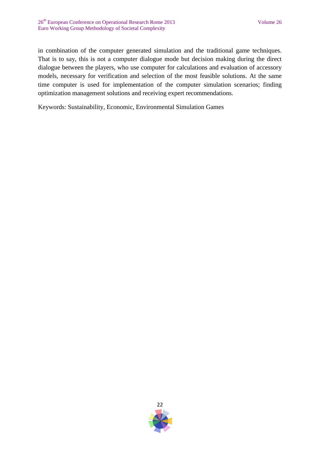in combination of the computer generated simulation and the traditional game techniques. That is to say, this is not a computer dialogue mode but decision making during the direct dialogue between the players, who use computer for calculations and evaluation of accessory models, necessary for verification and selection of the most feasible solutions. At the same time computer is used for implementation of the computer simulation scenarios; finding optimization management solutions and receiving expert recommendations.

Keywords: Sustainability, Economic, Environmental Simulation Games

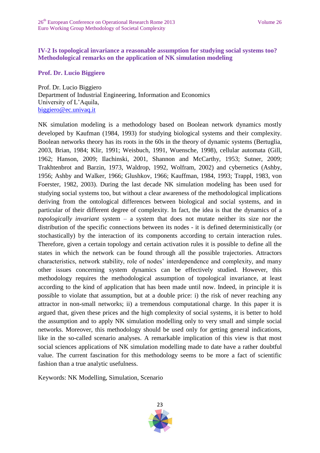## **IV-2 Is topological invariance a reasonable assumption for studying social systems too? Methodological remarks on the application of NK simulation modeling**

**Prof. Dr. Lucio Biggiero** 

Prof. Dr. Lucio Biggiero Department of Industrial Engineering, Information and Economics University of L'Aquila, [biggiero@ec.univaq.it](mailto:biggiero@ec.univaq.it)

NK simulation modeling is a methodology based on Boolean network dynamics mostly developed by Kaufman (1984, 1993) for studying biological systems and their complexity. Boolean networks theory has its roots in the 60s in the theory of dynamic systems (Bertuglia, 2003, Brian, 1984; Klir, 1991; Weisbuch, 1991, Wuensche, 1998), cellular automata (Gill, 1962; Hanson, 2009; Ilachinski, 2001, Shannon and McCarthy, 1953; Sutner, 2009; Trakhtenbrot and Barzin, 1973, Waldrop, 1992, Wolfram, 2002) and cybernetics (Ashby, 1956; Ashby and Walker, 1966; Glushkov, 1966; Kauffman, 1984, 1993; Trappl, 1983, von Foerster, 1982, 2003). During the last decade NK simulation modeling has been used for studying social systems too, but without a clear awareness of the methodological implications deriving from the ontological differences between biological and social systems, and in particular of their different degree of complexity. In fact, the idea is that the dynamics of a *topologically invariant* system – a system that does not mutate neither its size nor the distribution of the specific connections between its nodes - it is defined deterministically (or stochastically) by the interaction of its components according to certain interaction rules. Therefore, given a certain topology and certain activation rules it is possible to define all the states in which the network can be found through all the possible trajectories. Attractors characteristics, network stability, role of nodes' interdependence and complexity, and many other issues concerning system dynamics can be effectively studied. However, this methodology requires the methodological assumption of topological invariance, at least according to the kind of application that has been made until now. Indeed, in principle it is possible to violate that assumption, but at a double price: i) the risk of never reaching any attractor in non-small networks; ii) a tremendous computational charge. In this paper it is argued that, given these prices and the high complexity of social systems, it is better to hold the assumption and to apply NK simulation modelling only to very small and simple social networks. Moreover, this methodology should be used only for getting general indications, like in the so-called scenario analyses. A remarkable implication of this view is that most social sciences applications of NK simulation modelling made to date have a rather doubtful value. The current fascination for this methodology seems to be more a fact of scientific fashion than a true analytic usefulness.

Keywords: NK Modelling, Simulation, Scenario

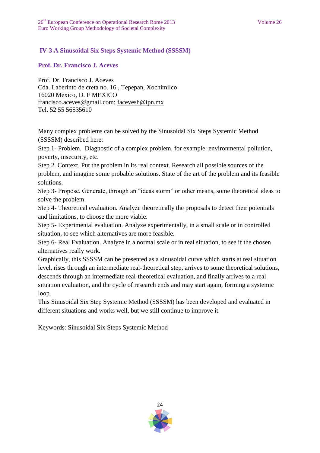## **IV-3 A Sinusoidal Six Steps Systemic Method (SSSSM)**

#### **Prof. Dr. Francisco J. Aceves**

Prof. Dr. Francisco J. Aceves Cda. Laberinto de creta no. 16 , Tepepan, Xochimilco 16020 Mexico, D. F MEXICO [francisco.aceves@gmail.com;](mailto:francisco.aceves@gmail.com) [facevesh@ipn.mx](mailto:facevesh@ipn.mx) Tel. 52 55 56535610

Many complex problems can be solved by the Sinusoidal Six Steps Systemic Method (SSSSM) described here:

Step 1- Problem. Diagnostic of a complex problem, for example: environmental pollution, poverty, insecurity, etc.

Step 2. Context. Put the problem in its real context. Research all possible sources of the problem, and imagine some probable solutions. State of the art of the problem and its feasible solutions.

Step 3- Propose. Generate, through an "ideas storm" or other means, some theoretical ideas to solve the problem.

Step 4- Theoretical evaluation. Analyze theoretically the proposals to detect their potentials and limitations, to choose the more viable.

Step 5- Experimental evaluation. Analyze experimentally, in a small scale or in controlled situation, to see which alternatives are more feasible.

Step 6- Real Evaluation. Analyze in a normal scale or in real situation, to see if the chosen alternatives really work.

Graphically, this SSSSM can be presented as a sinusoidal curve which starts at real situation level, rises through an intermediate real-theoretical step, arrives to some theoretical solutions, descends through an intermediate real-theoretical evaluation, and finally arrives to a real situation evaluation, and the cycle of research ends and may start again, forming a systemic loop.

This Sinusoidal Six Step Systemic Method (SSSSM) has been developed and evaluated in different situations and works well, but we still continue to improve it.

Keywords: Sinusoidal Six Steps Systemic Method

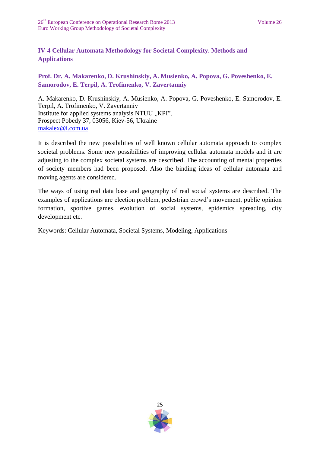# **IV-4 Cellular Automata Methodology for Societal Complexity. Methods and Applications**

**Prof. Dr. A. Makarenko, D. Krushinskiy, A. Musienko, A. Popova, G. Poveshenko, E. Samorodov, E. Terpil, A. Trofimenko, V. Zavertanniy**

A. Makarenko, D. Krushinskiy, A. Musienko, A. Popova, G. Poveshenko, E. Samorodov, E. Terpil, A. Trofimenko, V. Zavertanniy Institute for applied systems analysis NTUU "KPI", Prospect Pobedy 37, 03056, Kiev-56, Ukraine [makalex@i.com.ua](mailto:makalex@i.com.ua)

It is described the new possibilities of well known cellular automata approach to complex societal problems. Some new possibilities of improving cellular automata models and it are adjusting to the complex societal systems are described. The accounting of mental properties of society members had been proposed. Also the binding ideas of cellular automata and moving agents are considered.

The ways of using real data base and geography of real social systems are described. The examples of applications are election problem, pedestrian crowd's movement, public opinion formation, sportive games, evolution of social systems, epidemics spreading, city development etc.

Keywords: Cellular Automata, Societal Systems, Modeling, Applications

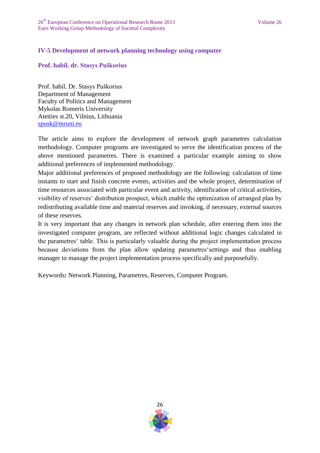## **IV-5 Development of network planning technology using computer**

#### **Prof. habil. dr. Stasys Puškorius**

Prof. habil. Dr. Stasys Puškorius Department of Management Faculty of Politics and Management Mykolas Romeris University Ateities st.20, Vilnius, Lithuania [spusk@mruni.eu](mailto:spusk@mruni.eu)

The article aims to explore the development of network graph parametres calculation methodology. Computer programs are investigated to serve the identification process of the above mentioned parametres. There is examined a particular example aiming to show additional preferences of implemented methodology.

Major additional preferences of proposed methodology are the following: calculation of time instants to start and finish concrete events, activities and the whole project, determination of time resources associated with particular event and activity, identification of critical activities, visibility of reserves' distribution prospect, which enable the optimization of arranged plan by redistributing available time and material reserves and invoking, if necessary, external sources of these reserves.

It is very important that any changes in network plan schedule, after entering them into the investigated computer program, are reflected without additional logic changes calculated in the parametres' table. This is particularly valuable during the project implementation process because deviations from the plan allow updating parametres'settings and thus enabling manager to manage the project implementation process specifically and purposefully.

Keywords**:** Network Planning, Parametres, Reserves, Computer Program.

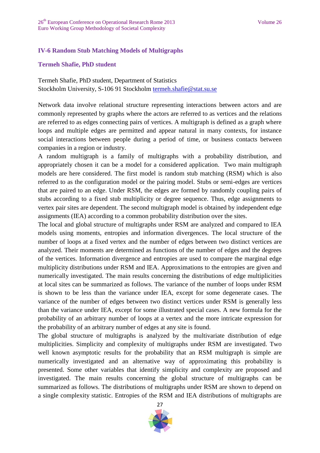## **IV-6 Random Stub Matching Models of Multigraphs**

#### **Termeh Shafie, PhD student**

Termeh Shafie, PhD student, Department of Statistics Stockholm University, S-106 91 Stockholm [termeh.shafie@stat.su.se](mailto:termeh.shafie@stat.su.se)

Network data involve relational structure representing interactions between actors and are commonly represented by graphs where the actors are referred to as vertices and the relations are referred to as edges connecting pairs of vertices. A multigraph is defined as a graph where loops and multiple edges are permitted and appear natural in many contexts, for instance social interactions between people during a period of time, or business contacts between companies in a region or industry.

A random multigraph is a family of multigraphs with a probability distribution, and appropriately chosen it can be a model for a considered application. Two main multigraph models are here considered. The first model is random stub matching (RSM) which is also referred to as the configuration model or the pairing model. Stubs or semi-edges are vertices that are paired to an edge. Under RSM, the edges are formed by randomly coupling pairs of stubs according to a fixed stub multiplicity or degree sequence. Thus, edge assignments to vertex pair sites are dependent. The second multigraph model is obtained by independent edge assignments (IEA) according to a common probability distribution over the sites.

The local and global structure of multigraphs under RSM are analyzed and compared to IEA models using moments, entropies and information divergences. The local structure of the number of loops at a fixed vertex and the number of edges between two distinct vertices are analyzed. Their moments are determined as functions of the number of edges and the degrees of the vertices. Information divergence and entropies are used to compare the marginal edge multiplicity distributions under RSM and IEA. Approximations to the entropies are given and numerically investigated. The main results concerning the distributions of edge multiplicities at local sites can be summarized as follows. The variance of the number of loops under RSM is shown to be less than the variance under IEA, except for some degenerate cases. The variance of the number of edges between two distinct vertices under RSM is generally less than the variance under IEA, except for some illustrated special cases. A new formula for the probability of an arbitrary number of loops at a vertex and the more intricate expression for the probability of an arbitrary number of edges at any site is found.

The global structure of multigraphs is analyzed by the multivariate distribution of edge multiplicities. Simplicity and complexity of multigraphs under RSM are investigated. Two well known asymptotic results for the probability that an RSM multigraph is simple are numerically investigated and an alternative way of approximating this probability is presented. Some other variables that identify simplicity and complexity are proposed and investigated. The main results concerning the global structure of multigraphs can be summarized as follows. The distributions of multigraphs under RSM are shown to depend on a single complexity statistic. Entropies of the RSM and IEA distributions of multigraphs are

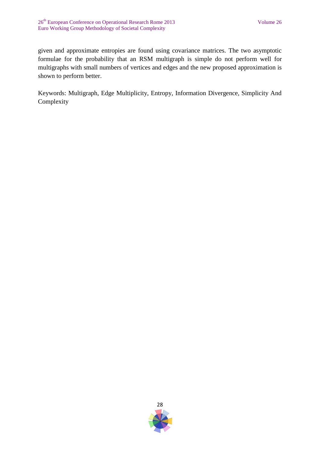given and approximate entropies are found using covariance matrices. The two asymptotic formulae for the probability that an RSM multigraph is simple do not perform well for multigraphs with small numbers of vertices and edges and the new proposed approximation is shown to perform better.

Keywords: Multigraph, Edge Multiplicity, Entropy, Information Divergence, Simplicity And Complexity

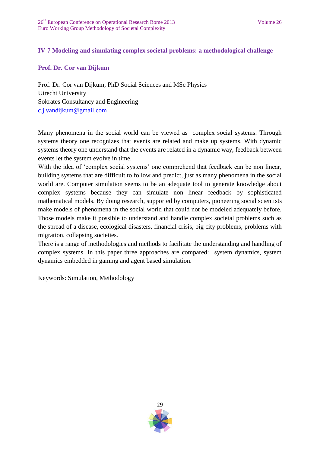## **IV-7 Modeling and simulating complex societal problems: a methodological challenge**

## **Prof. Dr. Cor van Dijkum**

Prof. Dr. Cor van Dijkum, PhD Social Sciences and MSc Physics Utrecht University Sokrates Consultancy and Engineering [c.j.vandijkum@gmail.com](mailto:c.j.vandijkum@gmail.com)

Many phenomena in the social world can be viewed as complex social systems. Through systems theory one recognizes that events are related and make up systems. With dynamic systems theory one understand that the events are related in a dynamic way, feedback between events let the system evolve in time.

With the idea of 'complex social systems' one comprehend that feedback can be non linear, building systems that are difficult to follow and predict, just as many phenomena in the social world are. Computer simulation seems to be an adequate tool to generate knowledge about complex systems because they can simulate non linear feedback by sophisticated mathematical models. By doing research, supported by computers, pioneering social scientists make models of phenomena in the social world that could not be modeled adequately before. Those models make it possible to understand and handle complex societal problems such as the spread of a disease, ecological disasters, financial crisis, big city problems, problems with migration, collapsing societies.

There is a range of methodologies and methods to facilitate the understanding and handling of complex systems. In this paper three approaches are compared: system dynamics, system dynamics embedded in gaming and agent based simulation.

Keywords: Simulation, Methodology

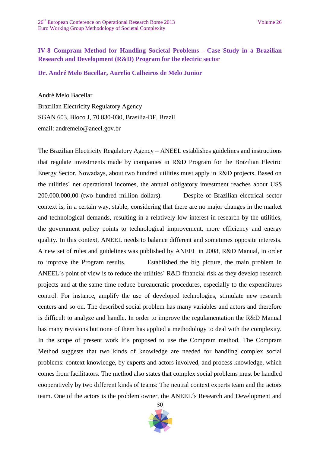## **IV-8 Compram Method for Handling Societal Problems - Case Study in a Brazilian Research and Development (R&D) Program for the electric sector**

**Dr. André Melo Bacellar, Aurelio Calheiros de Melo Junior**

André Melo Bacellar Brazilian Electricity Regulatory Agency SGAN 603, Bloco J, 70.830-030, Brasília-DF, Brazil email: andremelo@aneel.gov.br

The Brazilian Electricity Regulatory Agency – ANEEL establishes guidelines and instructions that regulate investments made by companies in R&D Program for the Brazilian Electric Energy Sector. Nowadays, about two hundred utilities must apply in R&D projects. Based on the utilities´ net operational incomes, the annual obligatory investment reaches about US\$ 200.000.000,00 (two hundred million dollars). Despite of Brazilian electrical sector context is, in a certain way, stable, considering that there are no major changes in the market and technological demands, resulting in a relatively low interest in research by the utilities, the government policy points to technological improvement, more efficiency and energy quality. In this context, ANEEL needs to balance different and sometimes opposite interests. A new set of rules and guidelines was published by ANEEL in 2008, R&D Manual, in order to improve the Program results. Established the big picture, the main problem in ANEEL´s point of view is to reduce the utilities´ R&D financial risk as they develop research projects and at the same time reduce bureaucratic procedures, especially to the expenditures control. For instance, amplify the use of developed technologies, stimulate new research centers and so on. The described social problem has many variables and actors and therefore is difficult to analyze and handle. In order to improve the regulamentation the R&D Manual has many revisions but none of them has applied a methodology to deal with the complexity. In the scope of present work it´s proposed to use the Compram method. The Compram Method suggests that two kinds of knowledge are needed for handling complex social problems: context knowledge, by experts and actors involved, and process knowledge, which comes from facilitators. The method also states that complex social problems must be handled cooperatively by two different kinds of teams: The neutral context experts team and the actors team. One of the actors is the problem owner, the ANEEL´s Research and Development and

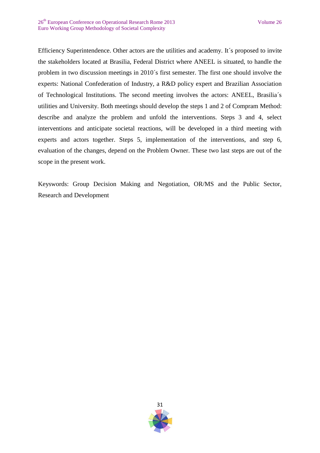Efficiency Superintendence. Other actors are the utilities and academy. It´s proposed to invite the stakeholders located at Brasilia, Federal District where ANEEL is situated, to handle the problem in two discussion meetings in 2010´s first semester. The first one should involve the experts: National Confederation of Industry, a R&D policy expert and Brazilian Association of Technological Institutions. The second meeting involves the actors: ANEEL, Brasilia´s utilities and University. Both meetings should develop the steps 1 and 2 of Compram Method: describe and analyze the problem and unfold the interventions. Steps 3 and 4, select interventions and anticipate societal reactions, will be developed in a third meeting with experts and actors together. Steps 5, implementation of the interventions, and step 6, evaluation of the changes, depend on the Problem Owner. These two last steps are out of the scope in the present work.

Keyswords: Group Decision Making and Negotiation, OR/MS and the Public Sector, Research and Development